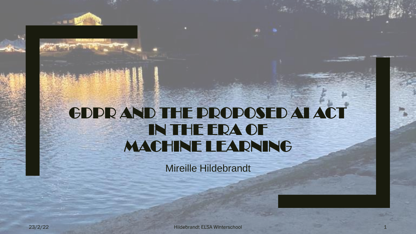## GDPR AND THE PROPOSED AI ACT IN THE ERA OF MACHINE LEARNING

Mireille Hildebrandt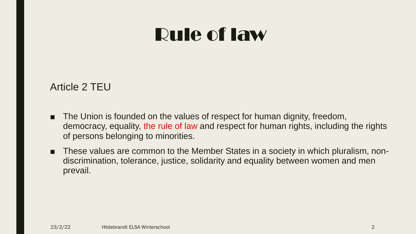### Article 2 TEU

- The Union is founded on the values of respect for human dignity, freedom, democracy, equality, the rule of law and respect for human rights, including the rights of persons belonging to minorities.
- These values are common to the Member States in a society in which pluralism, nondiscrimination, tolerance, justice, solidarity and equality between women and men prevail.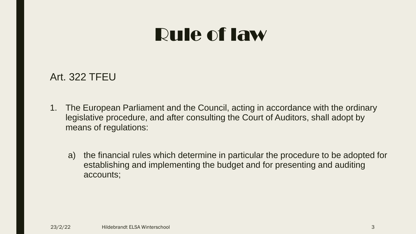### Art. 322 TFEU

- 1. The European Parliament and the Council, acting in accordance with the ordinary legislative procedure, and after consulting the Court of Auditors, shall adopt by means of regulations:
	- a) the financial rules which determine in particular the procedure to be adopted for establishing and implementing the budget and for presenting and auditing accounts;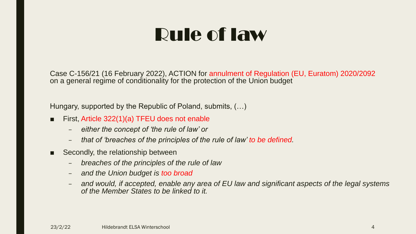Case C-156/21 (16 February 2022), ACTION for annulment of Regulation (EU, Euratom) 2020/2092 on a general regime of conditionality for the protection of the Union budget

Hungary, supported by the Republic of Poland, submits, (…)

- First, Article 322(1)(a) TFEU does not enable
	- *either the concept of 'the rule of law' or*
	- *that of 'breaches of the principles of the rule of law' to be defined.*
- Secondly, the relationship between
	- *breaches of the principles of the rule of law*
	- *and the Union budget is too broad*
	- *and would, if accepted, enable any area of EU law and significant aspects of the legal systems of the Member States to be linked to it.*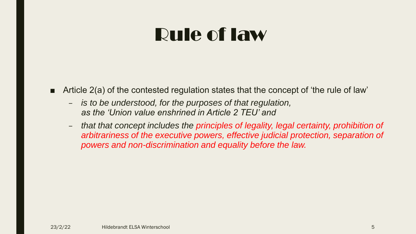- Article 2(a) of the contested regulation states that the concept of 'the rule of law'
	- *is to be understood, for the purposes of that regulation, as the 'Union value enshrined in Article 2 TEU' and*
	- *that that concept includes the principles of legality, legal certainty, prohibition of arbitrariness of the executive powers, effective judicial protection, separation of powers and non-discrimination and equality before the law.*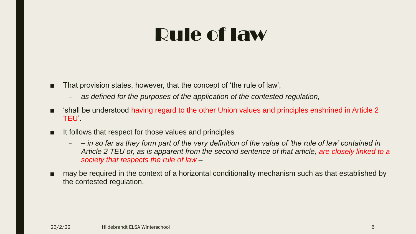- That provision states, however, that the concept of 'the rule of law',
	- *as defined for the purposes of the application of the contested regulation,*
- Shall be understood having regard to the other Union values and principles enshrined in Article 2 TEU'.
- It follows that respect for those values and principles
	- *– in so far as they form part of the very definition of the value of 'the rule of law' contained in Article 2 TEU or, as is apparent from the second sentence of that article, are closely linked to a society that respects the rule of law –*
- may be required in the context of a horizontal conditionality mechanism such as that established by the contested regulation.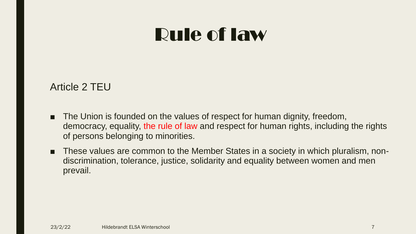### Article 2 TEU

- The Union is founded on the values of respect for human dignity, freedom, democracy, equality, the rule of law and respect for human rights, including the rights of persons belonging to minorities.
- These values are common to the Member States in a society in which pluralism, nondiscrimination, tolerance, justice, solidarity and equality between women and men prevail.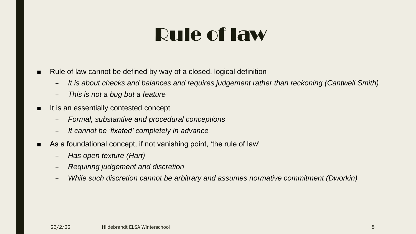- Rule of law cannot be defined by way of a closed, logical definition
	- *It is about checks and balances and requires judgement rather than reckoning (Cantwell Smith)*
	- *This is not a bug but a feature*
- It is an essentially contested concept
	- *Formal, substantive and procedural conceptions*
	- *It cannot be 'fixated' completely in advance*
- As a foundational concept, if not vanishing point, 'the rule of law'
	- *Has open texture (Hart)*
	- *Requiring judgement and discretion*
	- *While such discretion cannot be arbitrary and assumes normative commitment (Dworkin)*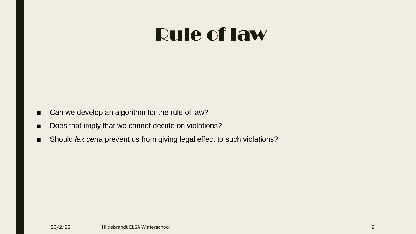- Can we develop an algorithm for the rule of law?
- Does that imply that we cannot decide on violations?
- Should *lex certa* prevent us from giving legal effect to such violations?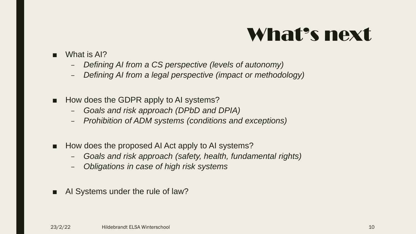## What's next

- What is AI?
	- *Defining AI from a CS perspective (levels of autonomy)*
	- *Defining AI from a legal perspective (impact or methodology)*
- How does the GDPR apply to AI systems?
	- *Goals and risk approach (DPbD and DPIA)*
	- *Prohibition of ADM systems (conditions and exceptions)*
- How does the proposed AI Act apply to AI systems?
	- *Goals and risk approach (safety, health, fundamental rights)*
	- *Obligations in case of high risk systems*
- AI Systems under the rule of law?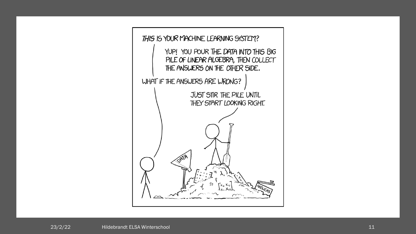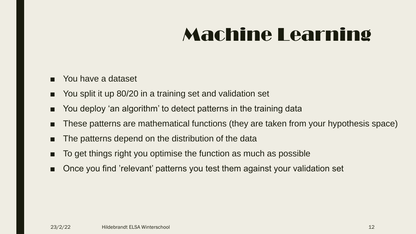# Machine Learning

- You have a dataset
- You split it up 80/20 in a training set and validation set
- You deploy 'an algorithm' to detect patterns in the training data
- These patterns are mathematical functions (they are taken from your hypothesis space)
- The patterns depend on the distribution of the data
- To get things right you optimise the function as much as possible
- Once you find 'relevant' patterns you test them against your validation set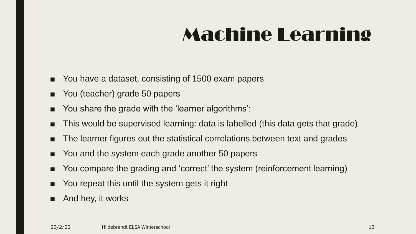# Machine Learning

- You have a dataset, consisting of 1500 exam papers
- You (teacher) grade 50 papers
- You share the grade with the 'learner algorithms':
- This would be supervised learning: data is labelled (this data gets that grade)
- The learner figures out the statistical correlations between text and grades
- You and the system each grade another 50 papers
- You compare the grading and 'correct' the system (reinforcement learning)
- You repeat this until the system gets it right
- And hey, it works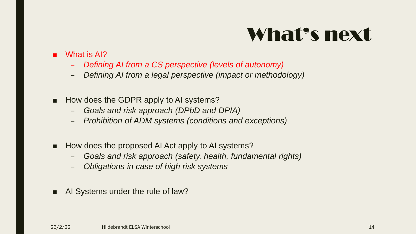## What's next

#### What is AI?

- *Defining AI from a CS perspective (levels of autonomy)*
- *Defining AI from a legal perspective (impact or methodology)*
- How does the GDPR apply to AI systems?
	- *Goals and risk approach (DPbD and DPIA)*
	- *Prohibition of ADM systems (conditions and exceptions)*
- How does the proposed AI Act apply to AI systems?
	- *Goals and risk approach (safety, health, fundamental rights)*
	- *Obligations in case of high risk systems*
- AI Systems under the rule of law?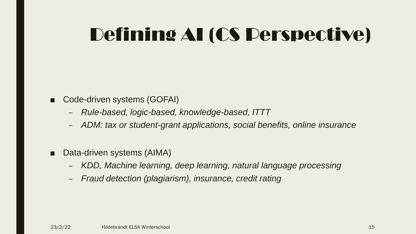- Code-driven systems (GOFAI)
	- *Rule-based, logic-based, knowledge-based, ITTT*
	- *ADM: tax or student-grant applications, social benefits, online insurance*
- Data-driven systems (AIMA)
	- *KDD, Machine learning, deep learning, natural language processing*
	- *Fraud detection (plagiarism), insurance, credit rating*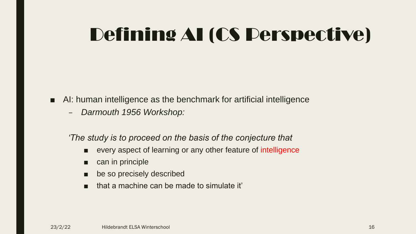- AI: human intelligence as the benchmark for artificial intelligence
	- *Darmouth 1956 Workshop:*

*'The study is to proceed on the basis of the conjecture that* 

- every aspect of learning or any other feature of intelligence
- can in principle
- be so precisely described
- that a machine can be made to simulate it'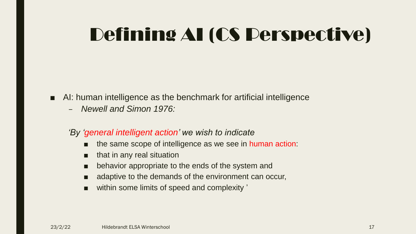- AI: human intelligence as the benchmark for artificial intelligence
	- *Newell and Simon 1976:*
	- *'By 'general intelligent action' we wish to indicate* 
		- the same scope of intelligence as we see in human action:
		- that in any real situation
		- behavior appropriate to the ends of the system and
		- adaptive to the demands of the environment can occur,
		- within some limits of speed and complexity '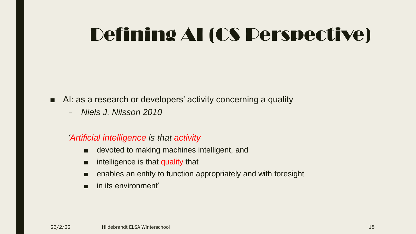- AI: as a research or developers' activity concerning a quality
	- *Niels J. Nilsson 2010*

#### *'Artificial intelligence is that activity*

- devoted to making machines intelligent, and
- intelligence is that quality that
- enables an entity to function appropriately and with foresight
- in its environment'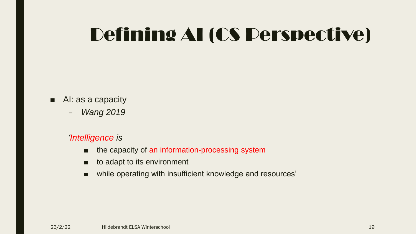- AI: as a capacity
	- *Wang 2019*

#### *'Intelligence is*

- the capacity of an information-processing system
- to adapt to its environment
- while operating with insufficient knowledge and resources'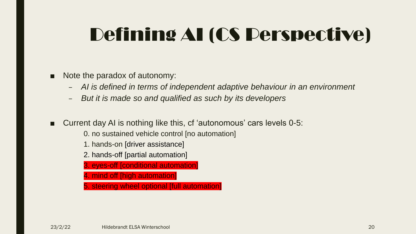- Note the paradox of autonomy:
	- *AI is defined in terms of independent adaptive behaviour in an environment*
	- *But it is made so and qualified as such by its developers*
- Current day AI is nothing like this, cf 'autonomous' cars levels 0-5:
	- 0. no sustained vehicle control [no automation]
	- 1. hands-on [driver assistance]
	- 2. hands-off [partial automation]
	- 3. eyes-off [conditional automation]
	- 4. mind off [high automation]
	- 5. steering wheel optional [full automation]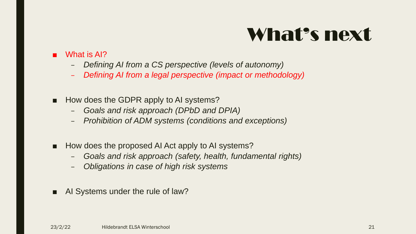## What's next

#### What is AI?

- *Defining AI from a CS perspective (levels of autonomy)*
- *Defining AI from a legal perspective (impact or methodology)*
- How does the GDPR apply to AI systems?
	- *Goals and risk approach (DPbD and DPIA)*
	- *Prohibition of ADM systems (conditions and exceptions)*
- How does the proposed AI Act apply to AI systems?
	- *Goals and risk approach (safety, health, fundamental rights)*
	- *Obligations in case of high risk systems*
- AI Systems under the rule of law?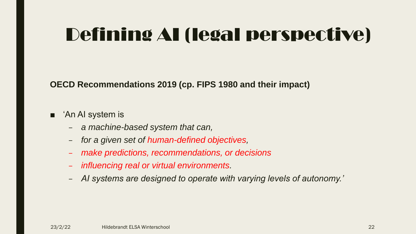**OECD Recommendations 2019 (cp. FIPS 1980 and their impact)**

#### ■ *'An AI* system is

- *a machine-based system that can,*
- *for a given set of human-defined objectives,*
- *make predictions, recommendations, or decisions*
- *influencing real or virtual environments.*
- *AI systems are designed to operate with varying levels of autonomy.'*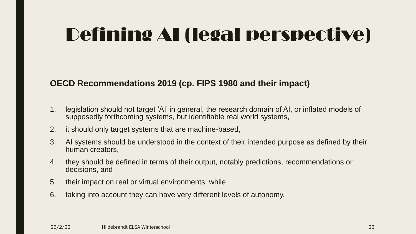#### **OECD Recommendations 2019 (cp. FIPS 1980 and their impact)**

- 1. legislation should not target 'AI' in general, the research domain of AI, or inflated models of supposedly forthcoming systems, but identifiable real world systems,
- 2. it should only target systems that are machine-based,
- 3. AI systems should be understood in the context of their intended purpose as defined by their human creators,
- 4. they should be defined in terms of their output, notably predictions, recommendations or decisions, and
- 5. their impact on real or virtual environments, while
- 6. taking into account they can have very different levels of autonomy.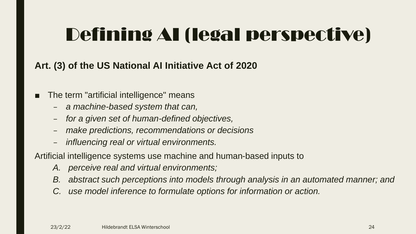### **Art. (3) of the US National AI Initiative Act of 2020**

- The term "artificial intelligence" means
	- *a machine-based system that can,*
	- *for a given set of human-defined objectives,*
	- *make predictions, recommendations or decisions*
	- *influencing real or virtual environments.*

Artificial intelligence systems use machine and human-based inputs to

- *A. perceive real and virtual environments;*
- *B. abstract such perceptions into models through analysis in an automated manner; and*
- *C. use model inference to formulate options for information or action.*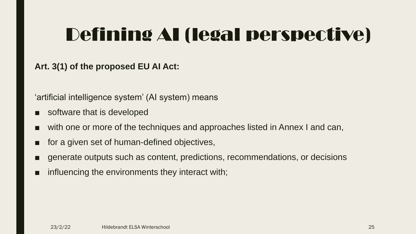#### **Art. 3(1) of the proposed EU AI Act:**

'artificial intelligence system' (AI system) means

- software that is developed
- with one or more of the techniques and approaches listed in Annex I and can,
- for a given set of human-defined objectives,
- generate outputs such as content, predictions, recommendations, or decisions
- influencing the environments they interact with;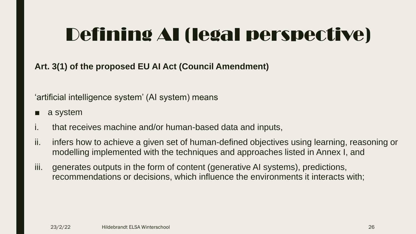**Art. 3(1) of the proposed EU AI Act (Council Amendment)**

'artificial intelligence system' (AI system) means

- a system
- i. that receives machine and/or human-based data and inputs,
- ii. infers how to achieve a given set of human-defined objectives using learning, reasoning or modelling implemented with the techniques and approaches listed in Annex I, and
- iii. generates outputs in the form of content (generative AI systems), predictions, recommendations or decisions, which influence the environments it interacts with;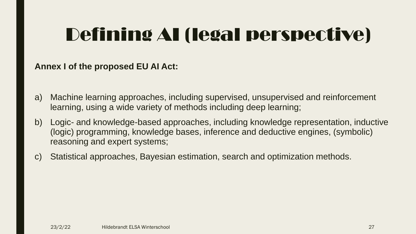#### **Annex I of the proposed EU AI Act:**

- a) Machine learning approaches, including supervised, unsupervised and reinforcement learning, using a wide variety of methods including deep learning;
- b) Logic- and knowledge-based approaches, including knowledge representation, inductive (logic) programming, knowledge bases, inference and deductive engines, (symbolic) reasoning and expert systems;
- c) Statistical approaches, Bayesian estimation, search and optimization methods.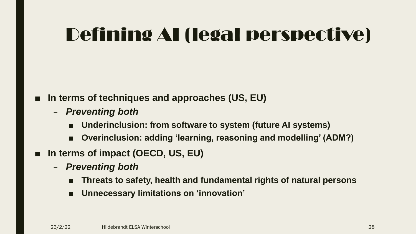### ■ In terms of techniques and approaches (US, EU)

- *Preventing both* 
	- Underinclusion: from software to system (future AI systems)
	- **Overinclusion: adding 'learning, reasoning and modelling' (ADM?)**
- **In terms of impact (OECD, US, EU)** 
	- *Preventing both*
		- **Threats to safety, health and fundamental rights of natural persons**
		- **Unnecessary limitations on 'innovation'**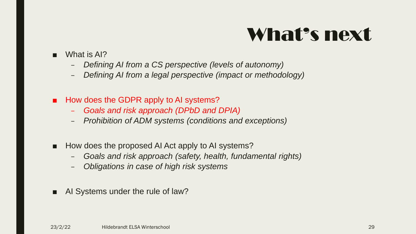## What's next

- What is AI?
	- *Defining AI from a CS perspective (levels of autonomy)*
	- *Defining AI from a legal perspective (impact or methodology)*
- How does the GDPR apply to AI systems?
	- *Goals and risk approach (DPbD and DPIA)*
	- *Prohibition of ADM systems (conditions and exceptions)*
- How does the proposed AI Act apply to AI systems?
	- *Goals and risk approach (safety, health, fundamental rights)*
	- *Obligations in case of high risk systems*
- AI Systems under the rule of law?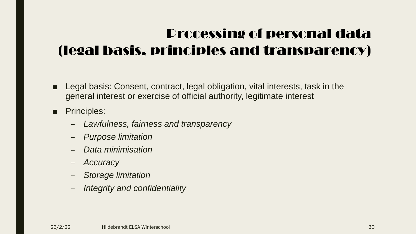## Processing of personal data (legal basis, principles and transparency)

- Legal basis: Consent, contract, legal obligation, vital interests, task in the general interest or exercise of official authority, legitimate interest
- Principles:
	- *Lawfulness, fairness and transparency*
	- *Purpose limitation*
	- *Data minimisation*
	- *Accuracy*
	- *Storage limitation*
	- *Integrity and confidentiality*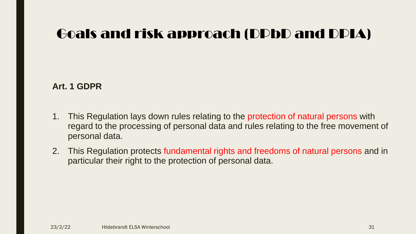**Art. 1 GDPR**

- 1. This Regulation lays down rules relating to the protection of natural persons with regard to the processing of personal data and rules relating to the free movement of personal data.
- 2. This Regulation protects fundamental rights and freedoms of natural persons and in particular their right to the protection of personal data.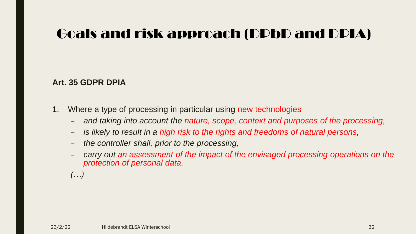#### **Art. 35 GDPR DPIA**

- 1. Where a type of processing in particular using new technologies
	- *and taking into account the nature, scope, context and purposes of the processing,*
	- *is likely to result in a high risk to the rights and freedoms of natural persons,*
	- *the controller shall, prior to the processing,*
	- *carry out an assessment of the impact of the envisaged processing operations on the protection of personal data.*

*(…)*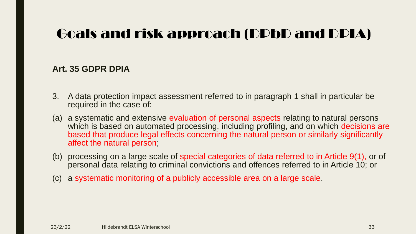#### **Art. 35 GDPR DPIA**

- 3. A data protection impact assessment referred to in paragraph 1 shall in particular be required in the case of:
- (a) a systematic and extensive evaluation of personal aspects relating to natural persons which is based on automated processing, including profiling, and on which decisions are based that produce legal effects concerning the natural person or similarly significantly affect the natural person;
- (b) processing on a large scale of special categories of data referred to in Article 9(1), or of personal data relating to criminal convictions and offences referred to in Article 10; or
- (c) a systematic monitoring of a publicly accessible area on a large scale.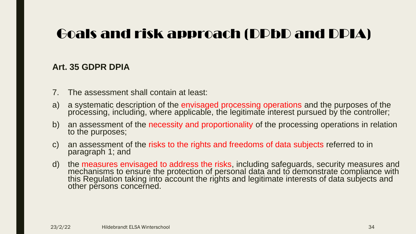#### **Art. 35 GDPR DPIA**

- 7. The assessment shall contain at least:
- a) a systematic description of the envisaged processing operations and the purposes of the processing, including, where applicable, the legitimate interest pursued by the controller;
- b) an assessment of the necessity and proportionality of the processing operations in relation to the purposes;
- c) an assessment of the risks to the rights and freedoms of data subjects referred to in paragraph 1; and
- d) the measures envisaged to address the risks, including safeguards, security measures and mechanisms to ensure the protection of personal data and to demonstrate compliance with this Regulation taking into account the rights and legitimate interests of data subjects and other persons concerned.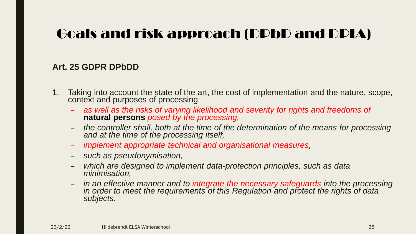#### **Art. 25 GDPR DPbDD**

- 1. Taking into account the state of the art, the cost of implementation and the nature, scope, context and purposes of processing
	- *as well as the risks of varying likelihood and severity for rights and freedoms of*  **natural persons** *posed by the processing,*
	- *the controller shall, both at the time of the determination of the means for processing and at the time of the processing itself,*
	- *implement appropriate technical and organisational measures,*
	- *such as pseudonymisation,*
	- *which are designed to implement data-protection principles, such as data minimisation,*
	- *in an effective manner and to integrate the necessary safeguards into the processing*  in order to meet the requirements of this Regulation and protect the rights of data *subjects.*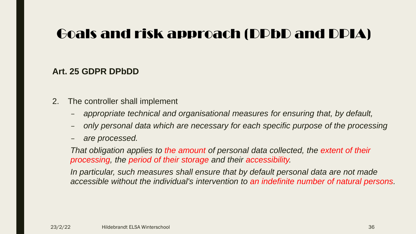#### **Art. 25 GDPR DPbDD**

- 2. The controller shall implement
	- *appropriate technical and organisational measures for ensuring that, by default,*
	- *only personal data which are necessary for each specific purpose of the processing*
	- *are processed.*

*That obligation applies to the amount of personal data collected, the extent of their processing, the period of their storage and their accessibility.* 

*In particular, such measures shall ensure that by default personal data are not made accessible without the individual's intervention to an indefinite number of natural persons.*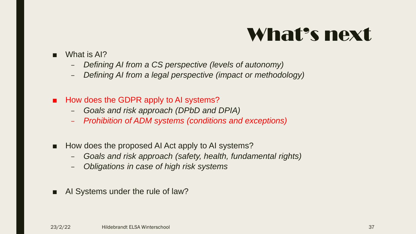## What's next

- What is AI?
	- *Defining AI from a CS perspective (levels of autonomy)*
	- *Defining AI from a legal perspective (impact or methodology)*
- How does the GDPR apply to AI systems?
	- *Goals and risk approach (DPbD and DPIA)*
	- *Prohibition of ADM systems (conditions and exceptions)*
- How does the proposed AI Act apply to AI systems?
	- *Goals and risk approach (safety, health, fundamental rights)*
	- *Obligations in case of high risk systems*
- AI Systems under the rule of law?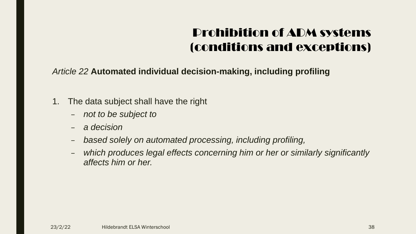- 1. The data subject shall have the right
	- *not to be subject to*
	- *a decision*
	- *based solely on automated processing, including profiling,*
	- *which produces legal effects concerning him or her or similarly significantly affects him or her.*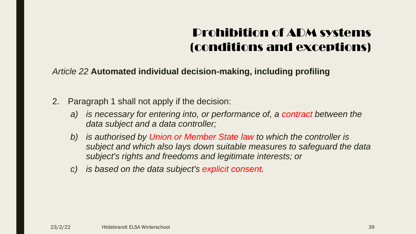- 2. Paragraph 1 shall not apply if the decision:
	- *a) is necessary for entering into, or performance of, a contract between the data subject and a data controller;*
	- *b) is authorised by Union or Member State law to which the controller is subject and which also lays down suitable measures to safeguard the data subject's rights and freedoms and legitimate interests; or*
	- *c) is based on the data subject's explicit consent.*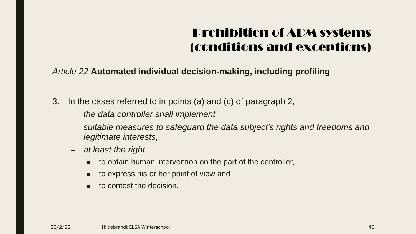- 3. In the cases referred to in points (a) and (c) of paragraph 2,
	- *the data controller shall implement*
	- *suitable measures to safeguard the data subject's rights and freedoms and legitimate interests,*
	- *at least the right* 
		- to obtain human intervention on the part of the controller,
		- to express his or her point of view and
		- to contest the decision.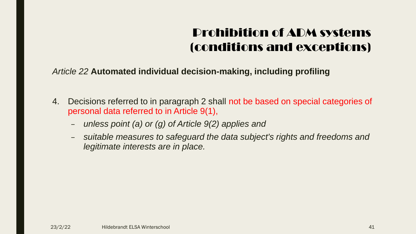- 4. Decisions referred to in paragraph 2 shall not be based on special categories of personal data referred to in Article 9(1),
	- *unless point (a) or (g) of Article 9(2) applies and*
	- *suitable measures to safeguard the data subject's rights and freedoms and legitimate interests are in place.*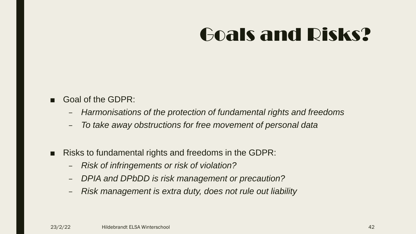# Goals and Risks?

- Goal of the GDPR:
	- *Harmonisations of the protection of fundamental rights and freedoms*
	- *To take away obstructions for free movement of personal data*
- Risks to fundamental rights and freedoms in the GDPR:
	- *Risk of infringements or risk of violation?*
	- *DPIA and DPbDD is risk management or precaution?*
	- *Risk management is extra duty, does not rule out liability*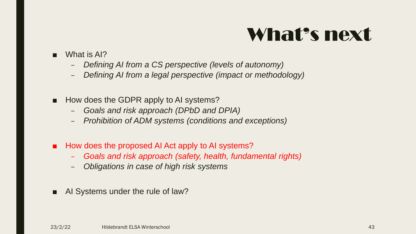## What's next

- What is AI?
	- *Defining AI from a CS perspective (levels of autonomy)*
	- *Defining AI from a legal perspective (impact or methodology)*
- How does the GDPR apply to AI systems?
	- *Goals and risk approach (DPbD and DPIA)*
	- *Prohibition of ADM systems (conditions and exceptions)*
- How does the proposed AI Act apply to AI systems?
	- *Goals and risk approach (safety, health, fundamental rights)*
	- *Obligations in case of high risk systems*
- AI Systems under the rule of law?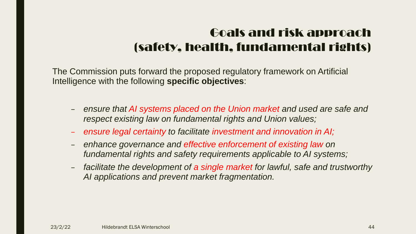### Goals and risk approach (safety, health, fundamental rights)

The Commission puts forward the proposed regulatory framework on Artificial Intelligence with the following **specific objectives**:

- *ensure that AI systems placed on the Union market and used are safe and respect existing law on fundamental rights and Union values;*
- *ensure legal certainty to facilitate investment and innovation in AI;*
- *enhance governance and effective enforcement of existing law on fundamental rights and safety requirements applicable to AI systems;*
- *facilitate the development of a single market for lawful, safe and trustworthy AI applications and prevent market fragmentation.*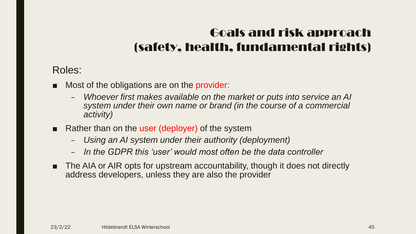### Goals and risk approach (safety, health, fundamental rights)

### Roles:

- Most of the obligations are on the provider:
	- *Whoever first makes available on the market or puts into service an AI system under their own name or brand (in the course of a commercial activity)*
- Rather than on the user (deployer) of the system
	- *Using an AI system under their authority (deployment)*
	- *In the GDPR this 'user' would most often be the data controller*
- The AIA or AIR opts for upstream accountability, though it does not directly address developers, unless they are also the provider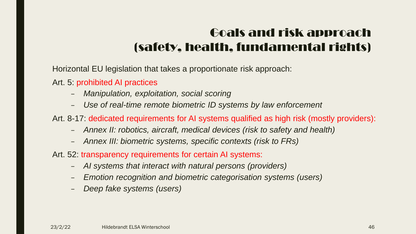### Goals and risk approach (safety, health, fundamental rights)

Horizontal EU legislation that takes a proportionate risk approach:

Art. 5: prohibited AI practices

- *Manipulation, exploitation, social scoring*
- *Use of real-time remote biometric ID systems by law enforcement*

Art. 8-17: dedicated requirements for AI systems qualified as high risk (mostly providers):

- *Annex II: robotics, aircraft, medical devices (risk to safety and health)*
- *Annex III: biometric systems, specific contexts (risk to FRs)*
- Art. 52: transparency requirements for certain AI systems:
	- *AI systems that interact with natural persons (providers)*
	- *Emotion recognition and biometric categorisation systems (users)*
	- *Deep fake systems (users)*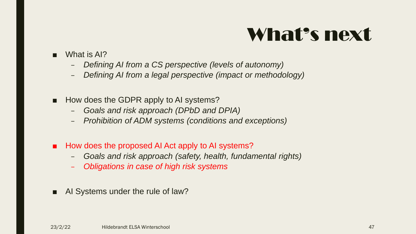## What's next

- What is AI?
	- *Defining AI from a CS perspective (levels of autonomy)*
	- *Defining AI from a legal perspective (impact or methodology)*
- How does the GDPR apply to AI systems?
	- *Goals and risk approach (DPbD and DPIA)*
	- *Prohibition of ADM systems (conditions and exceptions)*
- How does the proposed AI Act apply to AI systems?
	- *Goals and risk approach (safety, health, fundamental rights)*
	- *Obligations in case of high risk systems*
- AI Systems under the rule of law?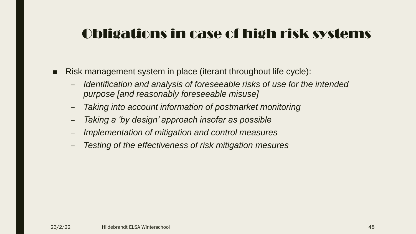- Risk management system in place (iterant throughout life cycle):
	- *Identification and analysis of foreseeable risks of use for the intended purpose [and reasonably foreseeable misuse]*
	- *Taking into account information of postmarket monitoring*
	- *Taking a 'by design' approach insofar as possible*
	- *Implementation of mitigation and control measures*
	- *Testing of the effectiveness of risk mitigation mesures*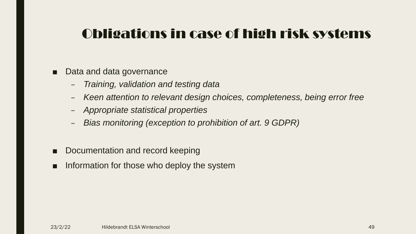- Data and data governance
	- *Training, validation and testing data*
	- *Keen attention to relevant design choices, completeness, being error free*
	- *Appropriate statistical properties*
	- *Bias monitoring (exception to prohibition of art. 9 GDPR)*
- Documentation and record keeping
- Information for those who deploy the system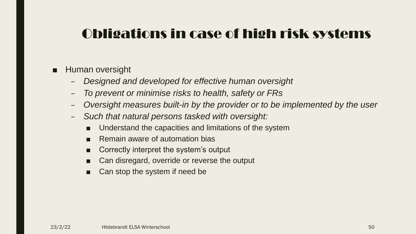#### ■ Human oversight

- *Designed and developed for effective human oversight*
- *To prevent or minimise risks to health, safety or FRs*
- *Oversight measures built-in by the provider or to be implemented by the user*
- *Such that natural persons tasked with oversight:*
	- Understand the capacities and limitations of the system
	- Remain aware of automation bias
	- Correctly interpret the system's output
	- Can disregard, override or reverse the output
	- Can stop the system if need be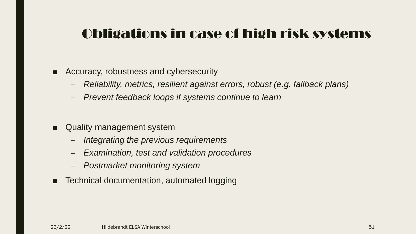- Accuracy, robustness and cybersecurity
	- *Reliability, metrics, resilient against errors, robust (e.g. fallback plans)*
	- *Prevent feedback loops if systems continue to learn*
- Quality management system
	- *Integrating the previous requirements*
	- *Examination, test and validation procedures*
	- *Postmarket monitoring system*
- Technical documentation, automated logging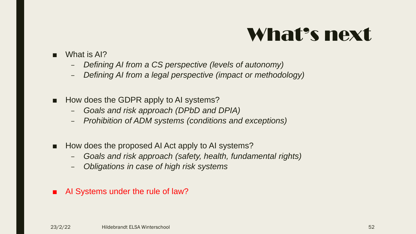## What's next

- What is AI?
	- *Defining AI from a CS perspective (levels of autonomy)*
	- *Defining AI from a legal perspective (impact or methodology)*
- How does the GDPR apply to AI systems?
	- *Goals and risk approach (DPbD and DPIA)*
	- *Prohibition of ADM systems (conditions and exceptions)*
- How does the proposed AI Act apply to AI systems?
	- *Goals and risk approach (safety, health, fundamental rights)*
	- *Obligations in case of high risk systems*
- AI Systems under the rule of law?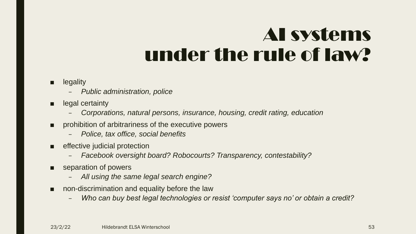## AI systems under the rule of law?

#### ■ legality

- *Public administration, police*
- legal certainty
	- *Corporations, natural persons, insurance, housing, credit rating, education*
- prohibition of arbitrariness of the executive powers
	- *Police, tax office, social benefits*
- effective judicial protection
	- *Facebook oversight board? Robocourts? Transparency, contestability?*
- separation of powers
	- *All using the same legal search engine?*
- non-discrimination and equality before the law
	- *Who can buy best legal technologies or resist 'computer says no' or obtain a credit?*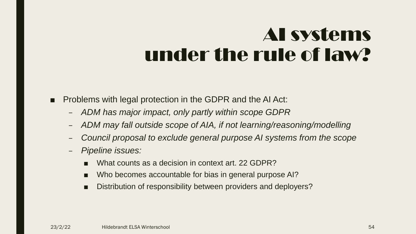## AI systems under the rule of law?

- Problems with legal protection in the GDPR and the AI Act:
	- *ADM has major impact, only partly within scope GDPR*
	- *ADM may fall outside scope of AIA, if not learning/reasoning/modelling*
	- *Council proposal to exclude general purpose AI systems from the scope*
	- *Pipeline issues:*
		- What counts as a decision in context art. 22 GDPR?
		- Who becomes accountable for bias in general purpose AI?
		- Distribution of responsibility between providers and deployers?